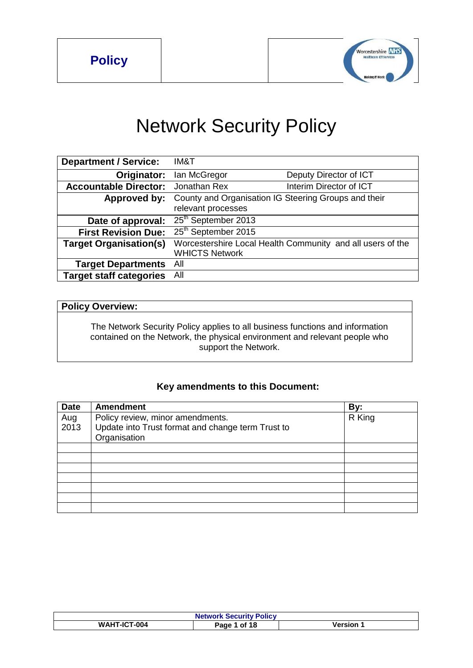

# Network Security Policy

| <b>Department / Service:</b>   | IM&T                            |                                                            |
|--------------------------------|---------------------------------|------------------------------------------------------------|
| Originator:                    | lan McGregor                    | Deputy Director of ICT                                     |
| <b>Accountable Director:</b>   | Jonathan Rex                    | Interim Director of ICT                                    |
| Approved by:                   | relevant processes              | County and Organisation IG Steering Groups and their       |
| Date of approval:              | 25th September 2013             |                                                            |
| <b>First Revision Due:</b>     | 25 <sup>th</sup> September 2015 |                                                            |
| <b>Target Organisation(s)</b>  | <b>WHICTS Network</b>           | Worcestershire Local Health Community and all users of the |
| <b>Target Departments</b>      | All                             |                                                            |
| <b>Target staff categories</b> | All                             |                                                            |

# **Policy Overview:**

The Network Security Policy applies to all business functions and information contained on the Network, the physical environment and relevant people who support the Network.

# **Key amendments to this Document:**

| <b>Date</b> | <b>Amendment</b>                                  | By:    |
|-------------|---------------------------------------------------|--------|
| Aug<br>2013 | Policy review, minor amendments.                  | R King |
|             | Update into Trust format and change term Trust to |        |
|             | Organisation                                      |        |
|             |                                                   |        |
|             |                                                   |        |
|             |                                                   |        |
|             |                                                   |        |
|             |                                                   |        |
|             |                                                   |        |
|             |                                                   |        |

| <b>Network Security Policy</b> |                 |         |
|--------------------------------|-----------------|---------|
| <b>WAHT-ICT-004</b>            | 1 of 18<br>Page | Version |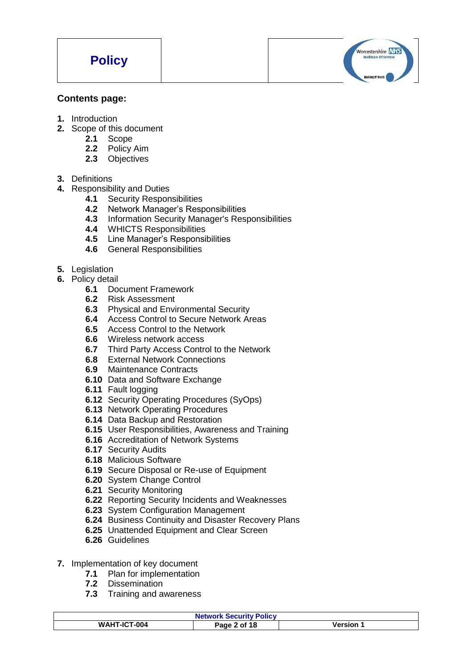

#### **Contents page:**

- **1.** Introduction
- **2.** Scope of this document
	- **2.1** Scope
	- **2.2** Policy Aim
	- **2.3** Objectives
- **3.** Definitions
- **4.** Responsibility and Duties
	- **4.1** Security Responsibilities
	- **4.2** Network Manager's Responsibilities
	- **4.3** Information Security Manager's Responsibilities
	- **4.4** WHICTS Responsibilities
	- **4.5** Line Manager's Responsibilities
	- **4.6** General Responsibilities
- **5.** Legislation
- **6.** Policy detail
	- **6.1** Document Framework
	- **6.2** Risk Assessment
	- **6.3** Physical and Environmental Security
	- **6.4** Access Control to Secure Network Areas
	- **6.5** Access Control to the Network
	- **6.6** Wireless network access
	- **6.7** Third Party Access Control to the Network
	- **6.8** External Network Connections
	- **6.9** Maintenance Contracts
	- **6.10** Data and Software Exchange
	- **6.11** Fault logging
	- **6.12** Security Operating Procedures (SyOps)
	- **6.13** Network Operating Procedures
	- **6.14** Data Backup and Restoration
	- **6.15** User Responsibilities, Awareness and Training
	- **6.16** Accreditation of Network Systems
	- **6.17** Security Audits
	- **6.18** Malicious Software
	- **6.19** Secure Disposal or Re-use of Equipment
	- **6.20** System Change Control
	- **6.21** Security Monitoring
	- **6.22** Reporting Security Incidents and Weaknesses
	- **6.23** System Configuration Management
	- **6.24** Business Continuity and Disaster Recovery Plans
	- **6.25** Unattended Equipment and Clear Screen
	- **6.26** Guidelines

#### **7.** Implementation of key document

- **7.1** Plan for implementation
- **7.2** Dissemination
- **7.3** Training and awareness

| <b>Network Security Policy</b> |              |         |
|--------------------------------|--------------|---------|
| <b>WAHT-ICT-004</b>            | Page 2 of 18 | Version |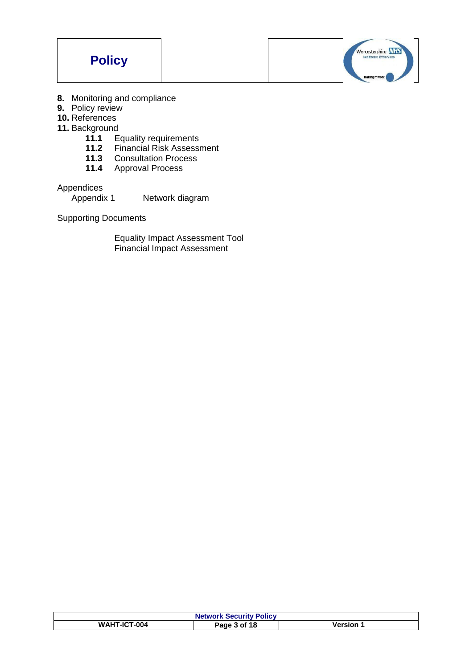



- **8.** Monitoring and compliance
- **9.** Policy review
- **10.** References
- **11. Background**<br>**11.1** E
	- 11.1 Equality requirements<br>11.2 Financial Risk Assessr
	- 11.2 Financial Risk Assessment<br>11.3 Consultation Process
	- **11.3** Consultation Process
	- **11.4** Approval Process

Appendices<br>Appendix 1

Network diagram

Supporting Documents

Equality Impact Assessment Tool Financial Impact Assessment

| <b>Network Security Policy</b> |              |         |
|--------------------------------|--------------|---------|
| <b>WAHT-ICT-004</b>            | Page 3 of 18 | /ersion |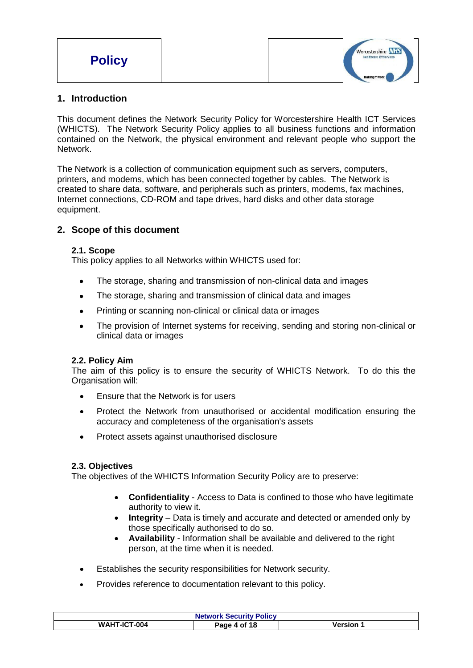| <b>Policy</b> | Worcestershire NHS<br><b>Healthcare ICT Services</b> |  |
|---------------|------------------------------------------------------|--|
|               | <b>Making IT Work</b>                                |  |

# **1. Introduction**

This document defines the Network Security Policy for Worcestershire Health ICT Services (WHICTS). The Network Security Policy applies to all business functions and information contained on the Network, the physical environment and relevant people who support the Network.

The Network is a collection of communication equipment such as servers, computers, printers, and modems, which has been connected together by cables. The Network is created to share data, software, and peripherals such as printers, modems, fax machines, Internet connections, CD-ROM and tape drives, hard disks and other data storage equipment.

# **2. Scope of this document**

#### **2.1. Scope**

This policy applies to all Networks within WHICTS used for:

- The storage, sharing and transmission of non-clinical data and images
- The storage, sharing and transmission of clinical data and images
- Printing or scanning non-clinical or clinical data or images
- The provision of Internet systems for receiving, sending and storing non-clinical or clinical data or images

# **2.2. Policy Aim**

The aim of this policy is to ensure the security of WHICTS Network. To do this the Organisation will:

- Ensure that the Network is for users
- Protect the Network from unauthorised or accidental modification ensuring the accuracy and completeness of the organisation's assets
- Protect assets against unauthorised disclosure

#### **2.3. Objectives**

The objectives of the WHICTS Information Security Policy are to preserve:

- **Confidentiality** Access to Data is confined to those who have legitimate authority to view it.
- **Integrity** Data is timely and accurate and detected or amended only by those specifically authorised to do so.
- **Availability**  Information shall be available and delivered to the right person, at the time when it is needed.
- Establishes the security responsibilities for Network security.
- Provides reference to documentation relevant to this policy.

| <b>Network Security Policy</b> |              |         |
|--------------------------------|--------------|---------|
| <b>WAHT-ICT-004</b>            | Page 4 of 18 | Version |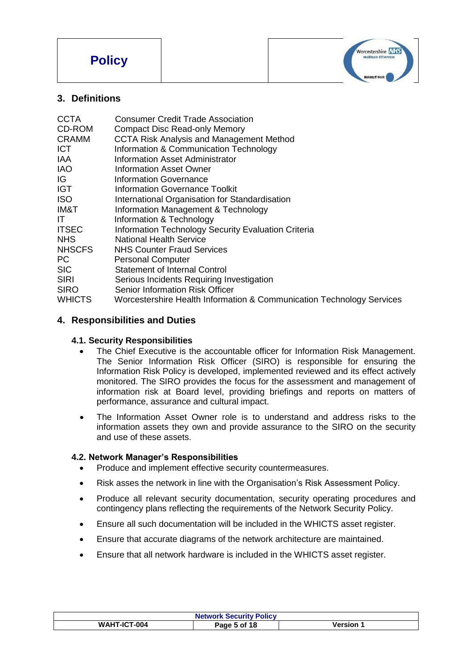

# **3. Definitions**

| <b>Consumer Credit Trade Association</b>                              |
|-----------------------------------------------------------------------|
| <b>Compact Disc Read-only Memory</b>                                  |
| <b>CCTA Risk Analysis and Management Method</b>                       |
| Information & Communication Technology                                |
| Information Asset Administrator                                       |
| Information Asset Owner                                               |
| <b>Information Governance</b>                                         |
| <b>Information Governance Toolkit</b>                                 |
| International Organisation for Standardisation                        |
| Information Management & Technology                                   |
| Information & Technology                                              |
| Information Technology Security Evaluation Criteria                   |
| <b>National Health Service</b>                                        |
| <b>NHS Counter Fraud Services</b>                                     |
| <b>Personal Computer</b>                                              |
| Statement of Internal Control                                         |
| Serious Incidents Requiring Investigation                             |
| Senior Information Risk Officer                                       |
| Worcestershire Health Information & Communication Technology Services |
|                                                                       |

# **4. Responsibilities and Duties**

# **4.1. Security Responsibilities**

- The Chief Executive is the accountable officer for Information Risk Management. The Senior Information Risk Officer (SIRO) is responsible for ensuring the Information Risk Policy is developed, implemented reviewed and its effect actively monitored. The SIRO provides the focus for the assessment and management of information risk at Board level, providing briefings and reports on matters of performance, assurance and cultural impact.
- The Information Asset Owner role is to understand and address risks to the information assets they own and provide assurance to the SIRO on the security and use of these assets.

# **4.2. Network Manager's Responsibilities**

- Produce and implement effective security countermeasures.
- Risk asses the network in line with the Organisation's Risk Assessment Policy.
- Produce all relevant security documentation, security operating procedures and contingency plans reflecting the requirements of the Network Security Policy.
- Ensure all such documentation will be included in the WHICTS asset register.
- Ensure that accurate diagrams of the network architecture are maintained.
- Ensure that all network hardware is included in the WHICTS asset register.

| <b>Network Security Policy</b> |              |                  |
|--------------------------------|--------------|------------------|
| <b>WAHT-ICT-004</b>            | Page 5 of 18 | <b>Version 1</b> |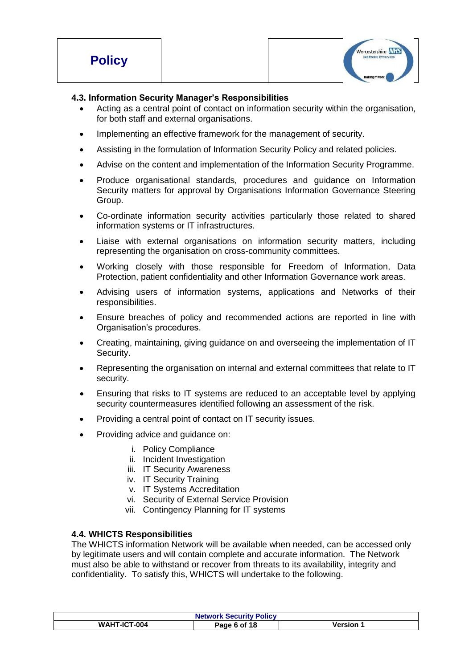| <b>Policy</b> |  | Worcestershire NHS<br><b>Healthcare ICT Services</b> |
|---------------|--|------------------------------------------------------|
|               |  | Making IT Work                                       |

#### **4.3. Information Security Manager's Responsibilities**

- Acting as a central point of contact on information security within the organisation, for both staff and external organisations.
- Implementing an effective framework for the management of security.
- Assisting in the formulation of Information Security Policy and related policies.
- Advise on the content and implementation of the Information Security Programme.
- Produce organisational standards, procedures and guidance on Information Security matters for approval by Organisations Information Governance Steering Group.
- Co-ordinate information security activities particularly those related to shared information systems or IT infrastructures.
- Liaise with external organisations on information security matters, including representing the organisation on cross-community committees.
- Working closely with those responsible for Freedom of Information, Data Protection, patient confidentiality and other Information Governance work areas.
- Advising users of information systems, applications and Networks of their responsibilities.
- Ensure breaches of policy and recommended actions are reported in line with Organisation's procedures.
- Creating, maintaining, giving guidance on and overseeing the implementation of IT Security.
- Representing the organisation on internal and external committees that relate to IT security.
- Ensuring that risks to IT systems are reduced to an acceptable level by applying security countermeasures identified following an assessment of the risk.
- Providing a central point of contact on IT security issues.
- Providing advice and guidance on:
	- i. Policy Compliance
	- ii. Incident Investigation
	- iii. IT Security Awareness
	- iv. IT Security Training
	- v. IT Systems Accreditation
	- vi. Security of External Service Provision
	- vii. Contingency Planning for IT systems

#### **4.4. WHICTS Responsibilities**

The WHICTS information Network will be available when needed, can be accessed only by legitimate users and will contain complete and accurate information. The Network must also be able to withstand or recover from threats to its availability, integrity and confidentiality. To satisfy this, WHICTS will undertake to the following.

| <b>Network Security Policy</b> |              |          |
|--------------------------------|--------------|----------|
| <b>WAHT-ICT-004</b>            | Page 6 of 18 | Version. |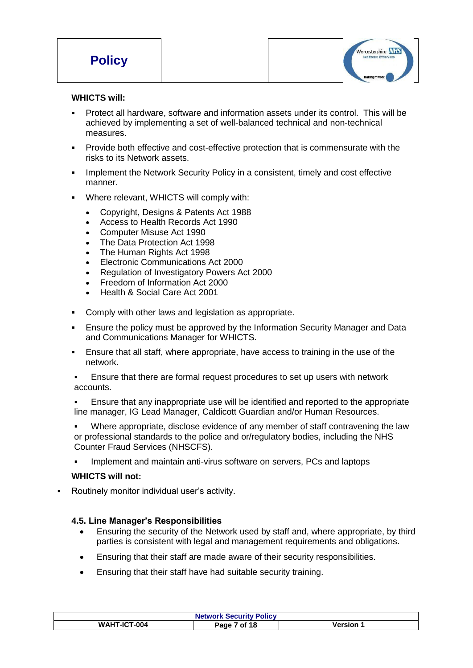

#### **WHICTS will:**

- Protect all hardware, software and information assets under its control. This will be achieved by implementing a set of well-balanced technical and non-technical measures.
- Provide both effective and cost-effective protection that is commensurate with the risks to its Network assets.
- **IMPLEMENT IMPLEMENT IMPLE THE NETWORK SECUTITY Policy in a consistent, timely and cost effective** manner.
- Where relevant, WHICTS will comply with:
	- Copyright, Designs & Patents Act 1988
	- Access to Health Records Act 1990
	- Computer Misuse Act 1990
	- The Data Protection Act 1998
	- The Human Rights Act 1998
	- Electronic Communications Act 2000
	- Regulation of Investigatory Powers Act 2000
	- Freedom of Information Act 2000
	- Health & Social Care Act 2001
- Comply with other laws and legislation as appropriate.
- Ensure the policy must be approved by the Information Security Manager and Data and Communications Manager for WHICTS.
- Ensure that all staff, where appropriate, have access to training in the use of the network.
- Ensure that there are formal request procedures to set up users with network accounts.
- Ensure that any inappropriate use will be identified and reported to the appropriate line manager, IG Lead Manager, Caldicott Guardian and/or Human Resources.
- Where appropriate, disclose evidence of any member of staff contravening the law or professional standards to the police and or/regulatory bodies, including the NHS Counter Fraud Services (NHSCFS).
- Implement and maintain anti-virus software on servers, PCs and laptops

#### **WHICTS will not:**

Routinely monitor individual user's activity.

#### **4.5. Line Manager's Responsibilities**

- Ensuring the security of the Network used by staff and, where appropriate, by third parties is consistent with legal and management requirements and obligations.
- Ensuring that their staff are made aware of their security responsibilities.
- Ensuring that their staff have had suitable security training.

| <b>Network Security Policy</b> |                |         |
|--------------------------------|----------------|---------|
| <b>WAHT-ICT-004</b>            | of 18<br>Page. | Version |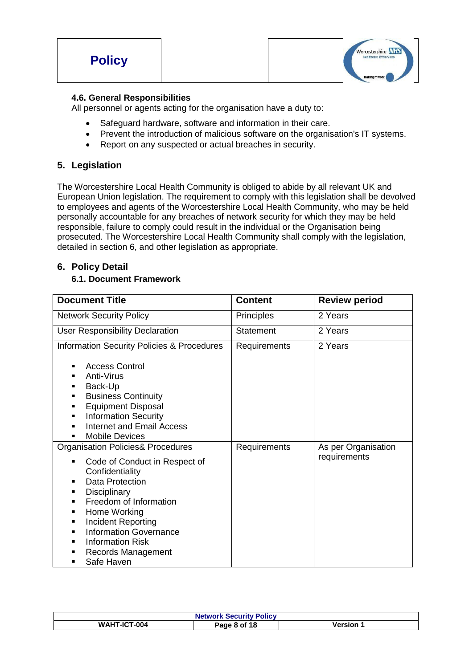

#### **4.6. General Responsibilities**

All personnel or agents acting for the organisation have a duty to:

- Safeguard hardware, software and information in their care.
- Prevent the introduction of malicious software on the organisation's IT systems.
- Report on any suspected or actual breaches in security.

# **5. Legislation**

The Worcestershire Local Health Community is obliged to abide by all relevant UK and European Union legislation. The requirement to comply with this legislation shall be devolved to employees and agents of the Worcestershire Local Health Community, who may be held personally accountable for any breaches of network security for which they may be held responsible, failure to comply could result in the individual or the Organisation being prosecuted. The Worcestershire Local Health Community shall comply with the legislation, detailed in section 6, and other legislation as appropriate.

# **6. Policy Detail**

#### **6.1. Document Framework**

| <b>Document Title</b>                                                                                                                                                                                                                                                                                                                                              | <b>Content</b>    | <b>Review period</b>                |
|--------------------------------------------------------------------------------------------------------------------------------------------------------------------------------------------------------------------------------------------------------------------------------------------------------------------------------------------------------------------|-------------------|-------------------------------------|
| <b>Network Security Policy</b>                                                                                                                                                                                                                                                                                                                                     | <b>Principles</b> | 2 Years                             |
| <b>User Responsibility Declaration</b>                                                                                                                                                                                                                                                                                                                             | Statement         | 2 Years                             |
| <b>Information Security Policies &amp; Procedures</b><br><b>Access Control</b><br>٠                                                                                                                                                                                                                                                                                | Requirements      | 2 Years                             |
| Anti-Virus<br>٠<br>Back-Up<br>٠<br><b>Business Continuity</b><br>٠<br><b>Equipment Disposal</b><br>٠<br><b>Information Security</b><br>٠<br><b>Internet and Email Access</b><br>п<br><b>Mobile Devices</b><br>٠                                                                                                                                                    |                   |                                     |
| <b>Organisation Policies&amp; Procedures</b><br>Code of Conduct in Respect of<br>٠<br>Confidentiality<br>Data Protection<br>п<br>Disciplinary<br>٠<br>Freedom of Information<br>٠<br>Home Working<br>п<br>Incident Reporting<br>٠<br><b>Information Governance</b><br>п<br><b>Information Risk</b><br>٠<br>Records Management<br>п<br>Safe Haven<br>$\blacksquare$ | Requirements      | As per Organisation<br>requirements |

| <b>Network Security Policy</b> |              |                |
|--------------------------------|--------------|----------------|
| <b>WAHT-ICT-004</b>            | Page 8 of 18 | <b>Version</b> |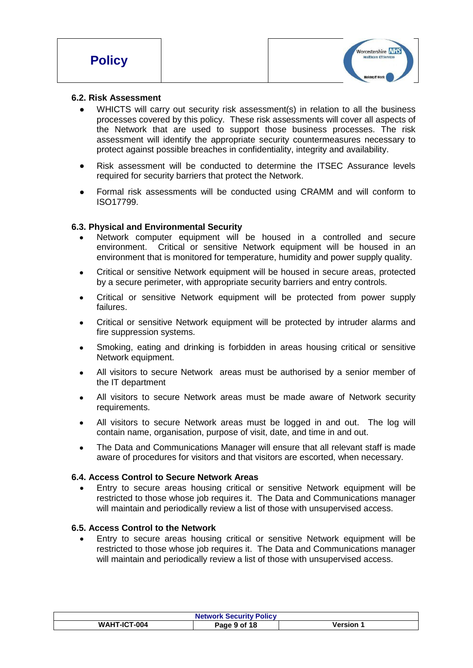#### **6.2. Risk Assessment**

- WHICTS will carry out security risk assessment(s) in relation to all the business processes covered by this policy. These risk assessments will cover all aspects of the Network that are used to support those business processes. The risk assessment will identify the appropriate security countermeasures necessary to protect against possible breaches in confidentiality, integrity and availability.
- Risk assessment will be conducted to determine the ITSEC Assurance levels required for security barriers that protect the Network.
- Formal risk assessments will be conducted using CRAMM and will conform to ISO17799.

#### **6.3. Physical and Environmental Security**

- Network computer equipment will be housed in a controlled and secure environment. Critical or sensitive Network equipment will be housed in an environment that is monitored for temperature, humidity and power supply quality.
- Critical or sensitive Network equipment will be housed in secure areas, protected by a secure perimeter, with appropriate security barriers and entry controls.
- Critical or sensitive Network equipment will be protected from power supply failures.
- Critical or sensitive Network equipment will be protected by intruder alarms and fire suppression systems.
- Smoking, eating and drinking is forbidden in areas housing critical or sensitive Network equipment.
- All visitors to secure Network areas must be authorised by a senior member of the IT department
- All visitors to secure Network areas must be made aware of Network security requirements.
- All visitors to secure Network areas must be logged in and out. The log will contain name, organisation, purpose of visit, date, and time in and out.
- The Data and Communications Manager will ensure that all relevant staff is made aware of procedures for visitors and that visitors are escorted, when necessary.

#### **6.4. Access Control to Secure Network Areas**

 Entry to secure areas housing critical or sensitive Network equipment will be restricted to those whose job requires it. The Data and Communications manager will maintain and periodically review a list of those with unsupervised access.

#### **6.5. Access Control to the Network**

 Entry to secure areas housing critical or sensitive Network equipment will be restricted to those whose job requires it. The Data and Communications manager will maintain and periodically review a list of those with unsupervised access.

| <b>Network Security Policy</b> |              |           |
|--------------------------------|--------------|-----------|
| <b>WAHT-ICT-004</b>            | Page 9 of 18 | Version . |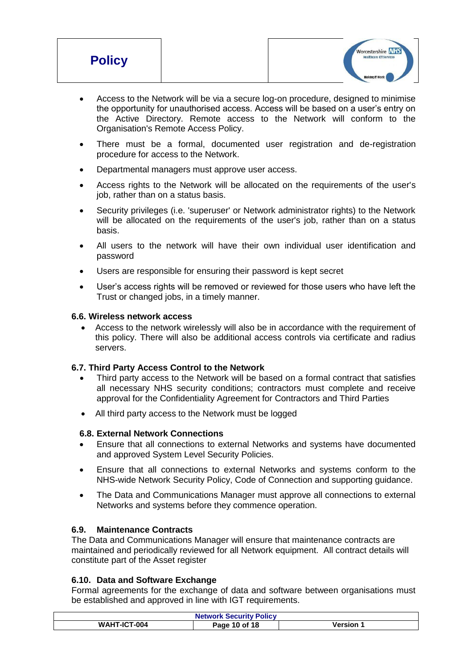| <b>Policy</b> | Worcestershire NHS<br><b>Healthcare ICT Services</b> |  |
|---------------|------------------------------------------------------|--|
|               | <b>Making IT Work</b>                                |  |

- Access to the Network will be via a secure log-on procedure, designed to minimise the opportunity for unauthorised access. Access will be based on a user's entry on the Active Directory. Remote access to the Network will conform to the Organisation's Remote Access Policy.
- There must be a formal, documented user registration and de-registration procedure for access to the Network.
- Departmental managers must approve user access.
- Access rights to the Network will be allocated on the requirements of the user's job, rather than on a status basis.
- Security privileges (i.e. 'superuser' or Network administrator rights) to the Network will be allocated on the requirements of the user's job, rather than on a status basis.
- All users to the network will have their own individual user identification and password
- Users are responsible for ensuring their password is kept secret
- User's access rights will be removed or reviewed for those users who have left the Trust or changed jobs, in a timely manner.

#### **6.6. Wireless network access**

 Access to the network wirelessly will also be in accordance with the requirement of this policy. There will also be additional access controls via certificate and radius servers.

#### **6.7. Third Party Access Control to the Network**

- Third party access to the Network will be based on a formal contract that satisfies all necessary NHS security conditions; contractors must complete and receive approval for the Confidentiality Agreement for Contractors and Third Parties
- All third party access to the Network must be logged

#### **6.8. External Network Connections**

- Ensure that all connections to external Networks and systems have documented and approved System Level Security Policies.
- Ensure that all connections to external Networks and systems conform to the NHS-wide Network Security Policy, Code of Connection and supporting guidance.
- The Data and Communications Manager must approve all connections to external Networks and systems before they commence operation.

#### **6.9. Maintenance Contracts**

The Data and Communications Manager will ensure that maintenance contracts are maintained and periodically reviewed for all Network equipment. All contract details will constitute part of the Asset register

#### **6.10. Data and Software Exchange**

Formal agreements for the exchange of data and software between organisations must be established and approved in line with IGT requirements.

| <b>Network Security Policy</b> |               |         |
|--------------------------------|---------------|---------|
| <b>WAHT-ICT-004</b>            | Page 10 of 18 | Version |
|                                |               |         |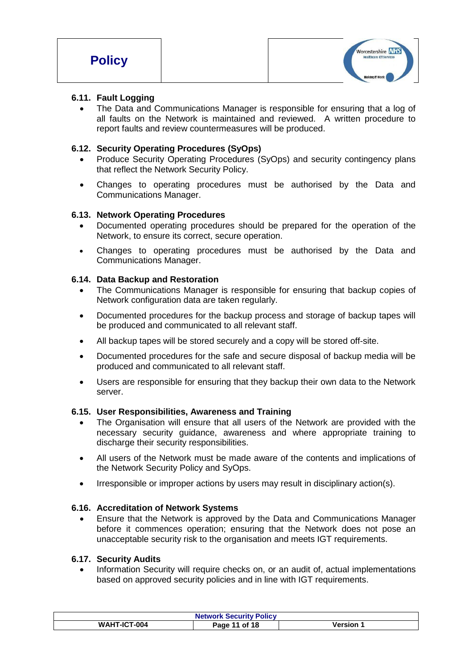

#### **6.11. Fault Logging**

 The Data and Communications Manager is responsible for ensuring that a log of all faults on the Network is maintained and reviewed. A written procedure to report faults and review countermeasures will be produced.

### **6.12. Security Operating Procedures (SyOps)**

- Produce Security Operating Procedures (SyOps) and security contingency plans that reflect the Network Security Policy.
- Changes to operating procedures must be authorised by the Data and Communications Manager.

#### **6.13. Network Operating Procedures**

- Documented operating procedures should be prepared for the operation of the Network, to ensure its correct, secure operation.
- Changes to operating procedures must be authorised by the Data and Communications Manager.

#### **6.14. Data Backup and Restoration**

- The Communications Manager is responsible for ensuring that backup copies of Network configuration data are taken regularly.
- Documented procedures for the backup process and storage of backup tapes will be produced and communicated to all relevant staff.
- All backup tapes will be stored securely and a copy will be stored off-site.
- Documented procedures for the safe and secure disposal of backup media will be produced and communicated to all relevant staff.
- Users are responsible for ensuring that they backup their own data to the Network server.

#### **6.15. User Responsibilities, Awareness and Training**

- The Organisation will ensure that all users of the Network are provided with the necessary security guidance, awareness and where appropriate training to discharge their security responsibilities.
- All users of the Network must be made aware of the contents and implications of the Network Security Policy and SyOps.
- Irresponsible or improper actions by users may result in disciplinary action(s).

#### **6.16. Accreditation of Network Systems**

 Ensure that the Network is approved by the Data and Communications Manager before it commences operation; ensuring that the Network does not pose an unacceptable security risk to the organisation and meets IGT requirements.

#### **6.17. Security Audits**

 Information Security will require checks on, or an audit of, actual implementations based on approved security policies and in line with IGT requirements.

| <b>Network Security Policy</b> |                  |         |
|--------------------------------|------------------|---------|
| <b>WAHT-ICT-004</b>            | of 18<br>Page 11 | Version |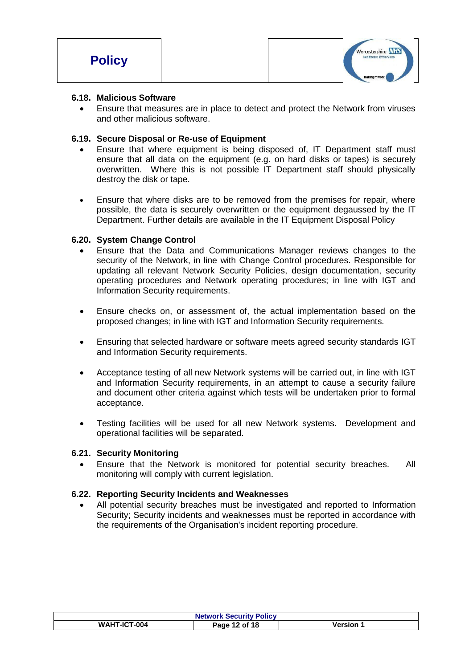

#### **6.18. Malicious Software**

 Ensure that measures are in place to detect and protect the Network from viruses and other malicious software.

#### **6.19. Secure Disposal or Re-use of Equipment**

- Ensure that where equipment is being disposed of, IT Department staff must ensure that all data on the equipment (e.g. on hard disks or tapes) is securely overwritten. Where this is not possible IT Department staff should physically destroy the disk or tape.
- Ensure that where disks are to be removed from the premises for repair, where possible, the data is securely overwritten or the equipment degaussed by the IT Department. Further details are available in the IT Equipment Disposal Policy

#### **6.20. System Change Control**

- Ensure that the Data and Communications Manager reviews changes to the security of the Network, in line with Change Control procedures. Responsible for updating all relevant Network Security Policies, design documentation, security operating procedures and Network operating procedures; in line with IGT and Information Security requirements.
- Ensure checks on, or assessment of, the actual implementation based on the proposed changes; in line with IGT and Information Security requirements.
- Ensuring that selected hardware or software meets agreed security standards IGT and Information Security requirements.
- Acceptance testing of all new Network systems will be carried out, in line with IGT and Information Security requirements, in an attempt to cause a security failure and document other criteria against which tests will be undertaken prior to formal acceptance.
- Testing facilities will be used for all new Network systems. Development and operational facilities will be separated.

#### **6.21. Security Monitoring**

 Ensure that the Network is monitored for potential security breaches. All monitoring will comply with current legislation.

#### **6.22. Reporting Security Incidents and Weaknesses**

 All potential security breaches must be investigated and reported to Information Security; Security incidents and weaknesses must be reported in accordance with the requirements of the Organisation's incident reporting procedure.

| <b>Network Security Policy</b> |               |                |
|--------------------------------|---------------|----------------|
| <b>WAHT-ICT-004</b>            | Page 12 of 18 | <b>Version</b> |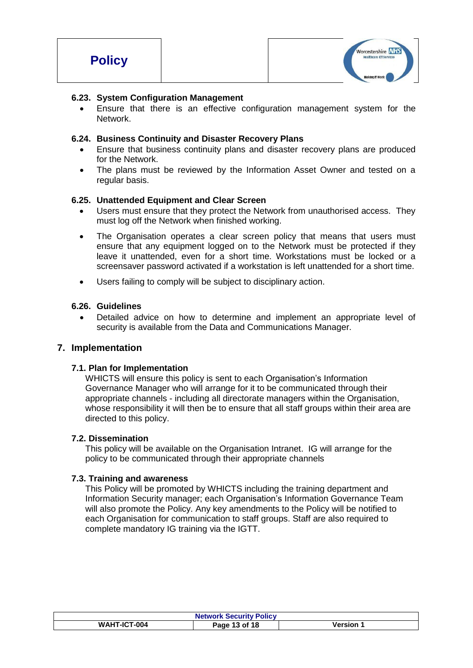

#### **6.23. System Configuration Management**

 Ensure that there is an effective configuration management system for the Network.

#### **6.24. Business Continuity and Disaster Recovery Plans**

- Ensure that business continuity plans and disaster recovery plans are produced for the Network.
- The plans must be reviewed by the Information Asset Owner and tested on a regular basis.

#### **6.25. Unattended Equipment and Clear Screen**

- Users must ensure that they protect the Network from unauthorised access. They must log off the Network when finished working.
- The Organisation operates a clear screen policy that means that users must ensure that any equipment logged on to the Network must be protected if they leave it unattended, even for a short time. Workstations must be locked or a screensaver password activated if a workstation is left unattended for a short time.
- Users failing to comply will be subject to disciplinary action.

#### **6.26. Guidelines**

 Detailed advice on how to determine and implement an appropriate level of security is available from the Data and Communications Manager.

#### **7. Implementation**

#### **7.1. Plan for Implementation**

WHICTS will ensure this policy is sent to each Organisation's Information Governance Manager who will arrange for it to be communicated through their appropriate channels - including all directorate managers within the Organisation, whose responsibility it will then be to ensure that all staff groups within their area are directed to this policy.

#### **7.2. Dissemination**

This policy will be available on the Organisation Intranet. IG will arrange for the policy to be communicated through their appropriate channels

#### **7.3. Training and awareness**

This Policy will be promoted by WHICTS including the training department and Information Security manager; each Organisation's Information Governance Team will also promote the Policy. Any key amendments to the Policy will be notified to each Organisation for communication to staff groups. Staff are also required to complete mandatory IG training via the IGTT.

| <b>Network Security Policy</b> |               |         |
|--------------------------------|---------------|---------|
| <b>WAHT-ICT-004</b>            | Page 13 of 18 | Version |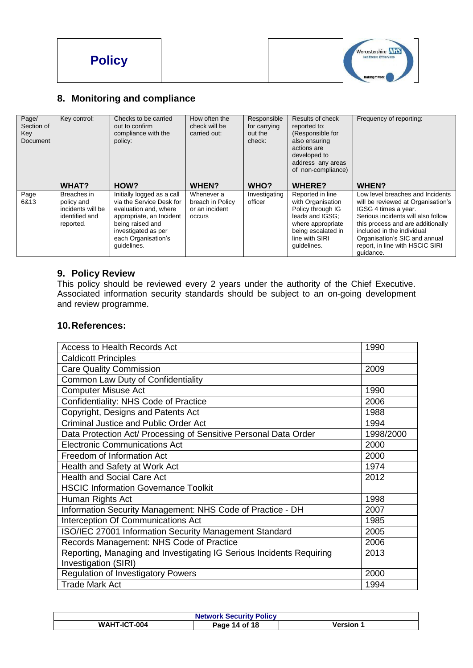



# **8. Monitoring and compliance**

| Page/<br>Section of<br>Key<br>Document | Key control:                                                                  | Checks to be carried<br>out to confirm<br>compliance with the<br>policy:                                                                                                                     | How often the<br>check will be<br>carried out:             | Responsible<br>for carrying<br>out the<br>check: | Results of check<br>reported to:<br>(Responsible for<br>also ensuring<br>actions are<br>developed to<br>address any areas<br>of non-compliance)           | Frequency of reporting:                                                                                                                                                                                                                                                                  |
|----------------------------------------|-------------------------------------------------------------------------------|----------------------------------------------------------------------------------------------------------------------------------------------------------------------------------------------|------------------------------------------------------------|--------------------------------------------------|-----------------------------------------------------------------------------------------------------------------------------------------------------------|------------------------------------------------------------------------------------------------------------------------------------------------------------------------------------------------------------------------------------------------------------------------------------------|
|                                        | WHAT?                                                                         | HOW?                                                                                                                                                                                         | <b>WHEN?</b>                                               | WHO?                                             | <b>WHERE?</b>                                                                                                                                             | WHEN?                                                                                                                                                                                                                                                                                    |
| Page<br>6&13                           | Breaches in<br>policy and<br>incidents will be<br>identified and<br>reported. | Initially logged as a call<br>via the Service Desk for<br>evaluation and, where<br>appropriate, an Incident<br>being raised and<br>investigated as per<br>each Organisation's<br>guidelines. | Whenever a<br>breach in Policy<br>or an incident<br>occurs | Investigating<br>officer                         | Reported in line<br>with Organisation<br>Policy through IG<br>leads and IGSG;<br>where appropriate<br>being escalated in<br>line with SIRI<br>guidelines. | Low level breaches and Incidents<br>will be reviewed at Organisation's<br>IGSG 4 times a year.<br>Serious incidents will also follow<br>this process and are additionally<br>included in the individual<br>Organisation's SIC and annual<br>report, in line with HSCIC SIRI<br>quidance. |

# **9. Policy Review**

This policy should be reviewed every 2 years under the authority of the Chief Executive. Associated information security standards should be subject to an on-going development and review programme.

#### **10.References:**

| Access to Health Records Act                                         | 1990      |
|----------------------------------------------------------------------|-----------|
| <b>Caldicott Principles</b>                                          |           |
| <b>Care Quality Commission</b>                                       | 2009      |
| Common Law Duty of Confidentiality                                   |           |
| <b>Computer Misuse Act</b>                                           | 1990      |
| Confidentiality: NHS Code of Practice                                | 2006      |
| Copyright, Designs and Patents Act                                   | 1988      |
| <b>Criminal Justice and Public Order Act</b>                         | 1994      |
| Data Protection Act/ Processing of Sensitive Personal Data Order     | 1998/2000 |
| <b>Electronic Communications Act</b>                                 | 2000      |
| Freedom of Information Act                                           | 2000      |
| Health and Safety at Work Act                                        | 1974      |
| <b>Health and Social Care Act</b>                                    | 2012      |
| <b>HSCIC Information Governance Toolkit</b>                          |           |
| Human Rights Act                                                     | 1998      |
| Information Security Management: NHS Code of Practice - DH           | 2007      |
| Interception Of Communications Act                                   | 1985      |
| ISO/IEC 27001 Information Security Management Standard               | 2005      |
| Records Management: NHS Code of Practice                             | 2006      |
| Reporting, Managing and Investigating IG Serious Incidents Requiring | 2013      |
| Investigation (SIRI)                                                 |           |
| <b>Regulation of Investigatory Powers</b>                            | 2000      |
| <b>Trade Mark Act</b>                                                | 1994      |

| <b>Network Security Policy</b> |               |           |
|--------------------------------|---------------|-----------|
| WAHT-ICT-004                   | Page 14 of 18 | Version 1 |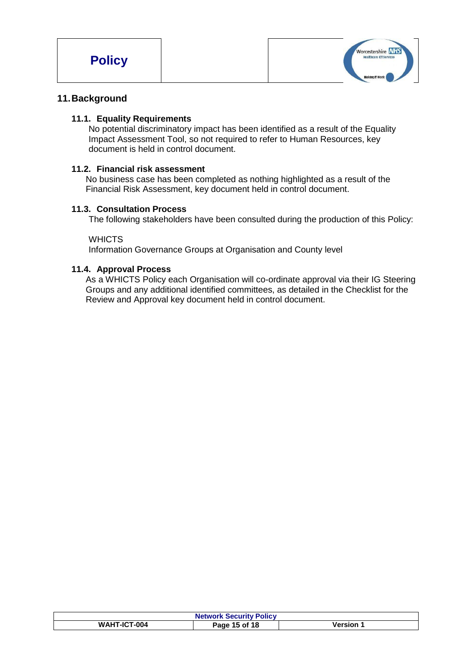

# **11.Background**

#### **11.1. Equality Requirements**

No potential discriminatory impact has been identified as a result of the Equality Impact Assessment Tool, so not required to refer to Human Resources, key document is held in control document.

#### **11.2. Financial risk assessment**

No business case has been completed as nothing highlighted as a result of the Financial Risk Assessment, key document held in control document.

#### **11.3. Consultation Process**

The following stakeholders have been consulted during the production of this Policy:

#### **WHICTS**

Information Governance Groups at Organisation and County level

#### **11.4. Approval Process**

As a WHICTS Policy each Organisation will co-ordinate approval via their IG Steering Groups and any additional identified committees, as detailed in the Checklist for the Review and Approval key document held in control document.

| <b>Network Security Policy</b> |               |          |
|--------------------------------|---------------|----------|
| <b>WAHT-ICT-004</b>            | Page 15 of 18 | Version. |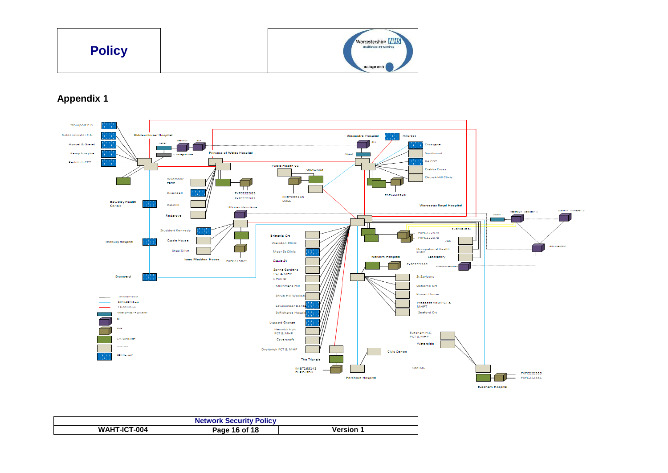

# **Appendix 1**



| <b>Network Security Policy</b> |               |                |  |
|--------------------------------|---------------|----------------|--|
| <b>WAHT-ICT-004</b>            | Page 16 of 18 | <b>Version</b> |  |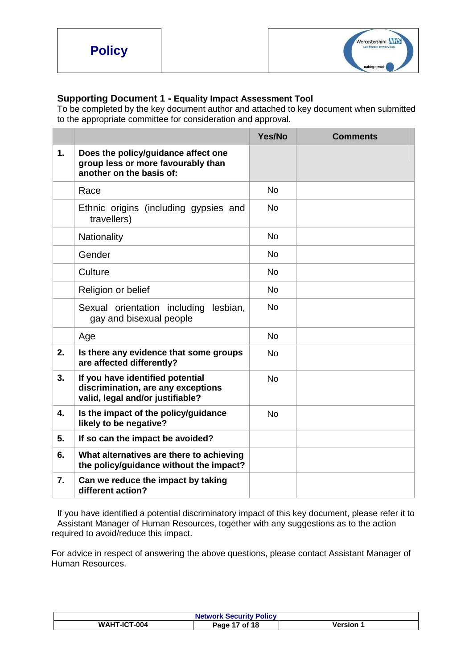

#### **Supporting Document 1 - Equality Impact Assessment Tool**

To be completed by the key document author and attached to key document when submitted to the appropriate committee for consideration and approval.

|    |                                                                                                            | Yes/No    | <b>Comments</b> |
|----|------------------------------------------------------------------------------------------------------------|-----------|-----------------|
| 1. | Does the policy/guidance affect one<br>group less or more favourably than<br>another on the basis of:      |           |                 |
|    | Race                                                                                                       | <b>No</b> |                 |
|    | Ethnic origins (including gypsies and<br>travellers)                                                       | <b>No</b> |                 |
|    | Nationality                                                                                                | <b>No</b> |                 |
|    | Gender                                                                                                     | <b>No</b> |                 |
|    | Culture                                                                                                    | <b>No</b> |                 |
|    | Religion or belief                                                                                         | <b>No</b> |                 |
|    | Sexual orientation including lesbian,<br>gay and bisexual people                                           | <b>No</b> |                 |
|    | Age                                                                                                        | <b>No</b> |                 |
| 2. | Is there any evidence that some groups<br>are affected differently?                                        | <b>No</b> |                 |
| 3. | If you have identified potential<br>discrimination, are any exceptions<br>valid, legal and/or justifiable? | <b>No</b> |                 |
| 4. | Is the impact of the policy/guidance<br>likely to be negative?                                             | <b>No</b> |                 |
| 5. | If so can the impact be avoided?                                                                           |           |                 |
| 6. | What alternatives are there to achieving<br>the policy/guidance without the impact?                        |           |                 |
| 7. | Can we reduce the impact by taking<br>different action?                                                    |           |                 |

If you have identified a potential discriminatory impact of this key document, please refer it to Assistant Manager of Human Resources, together with any suggestions as to the action required to avoid/reduce this impact.

For advice in respect of answering the above questions, please contact Assistant Manager of Human Resources.

| <b>Network Security Policy</b> |                  |         |
|--------------------------------|------------------|---------|
| <b>WAHT-ICT-004</b>            | of 18<br>Paqe 17 | /ersion |